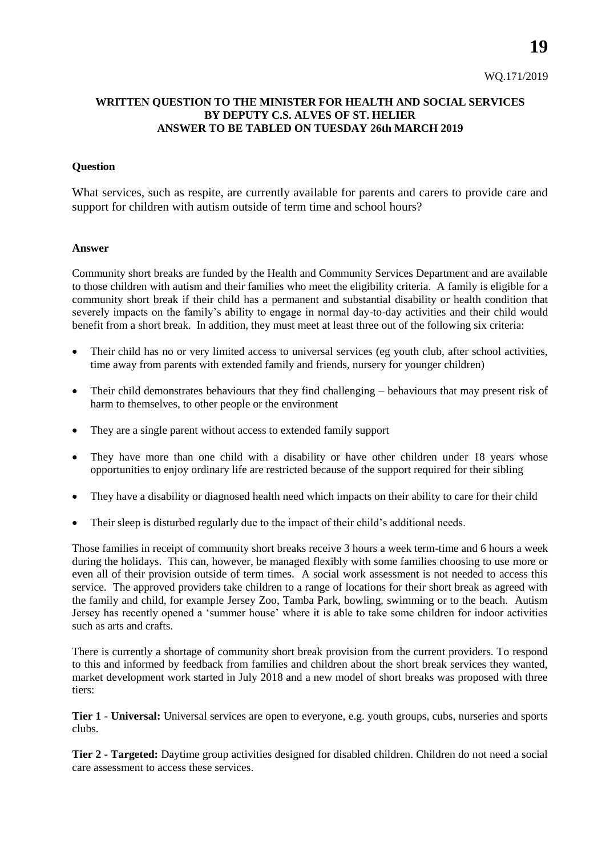## **WRITTEN QUESTION TO THE MINISTER FOR HEALTH AND SOCIAL SERVICES BY DEPUTY C.S. ALVES OF ST. HELIER ANSWER TO BE TABLED ON TUESDAY 26th MARCH 2019**

## **Question**

What services, such as respite, are currently available for parents and carers to provide care and support for children with autism outside of term time and school hours?

## **Answer**

Community short breaks are funded by the Health and Community Services Department and are available to those children with autism and their families who meet the eligibility criteria. A family is eligible for a community short break if their child has a permanent and substantial disability or health condition that severely impacts on the family's ability to engage in normal day-to-day activities and their child would benefit from a short break. In addition, they must meet at least three out of the following six criteria:

- Their child has no or very limited access to universal services (eg youth club, after school activities, time away from parents with extended family and friends, nursery for younger children)
- Their child demonstrates behaviours that they find challenging behaviours that may present risk of harm to themselves, to other people or the environment
- They are a single parent without access to extended family support
- They have more than one child with a disability or have other children under 18 years whose opportunities to enjoy ordinary life are restricted because of the support required for their sibling
- They have a disability or diagnosed health need which impacts on their ability to care for their child
- Their sleep is disturbed regularly due to the impact of their child's additional needs.

Those families in receipt of community short breaks receive 3 hours a week term-time and 6 hours a week during the holidays. This can, however, be managed flexibly with some families choosing to use more or even all of their provision outside of term times. A social work assessment is not needed to access this service. The approved providers take children to a range of locations for their short break as agreed with the family and child, for example Jersey Zoo, Tamba Park, bowling, swimming or to the beach. Autism Jersey has recently opened a 'summer house' where it is able to take some children for indoor activities such as arts and crafts.

There is currently a shortage of community short break provision from the current providers. To respond to this and informed by feedback from families and children about the short break services they wanted, market development work started in July 2018 and a new model of short breaks was proposed with three tiers:

**Tier 1 - Universal:** Universal services are open to everyone, e.g. youth groups, cubs, nurseries and sports clubs.

**Tier 2 - Targeted:** Daytime group activities designed for disabled children. Children do not need a social care assessment to access these services.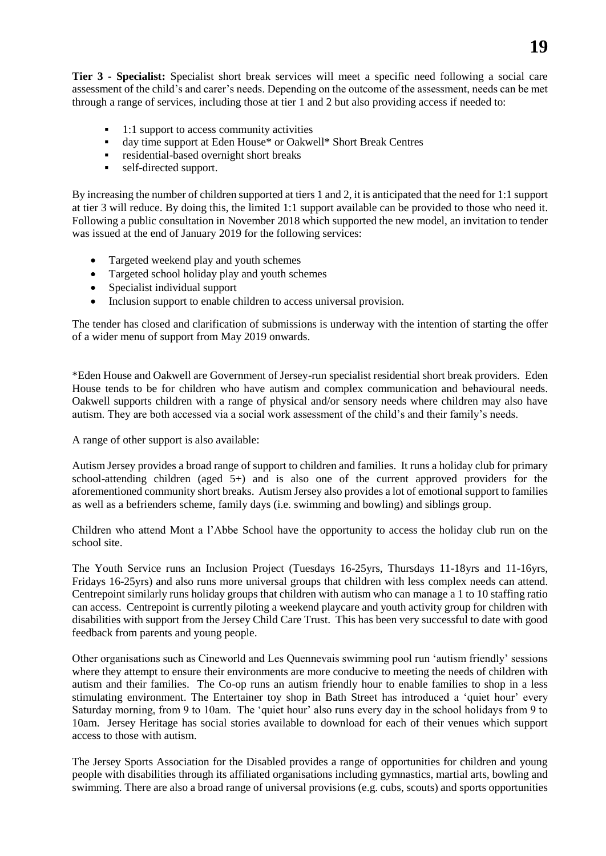**Tier 3 - Specialist:** Specialist short break services will meet a specific need following a social care assessment of the child's and carer's needs. Depending on the outcome of the assessment, needs can be met through a range of services, including those at tier 1 and 2 but also providing access if needed to:

- $\blacksquare$  1:1 support to access community activities
- day time support at Eden House\* or Oakwell\* Short Break Centres
- residential-based overnight short breaks
- self-directed support.

By increasing the number of children supported at tiers 1 and 2, it is anticipated that the need for 1:1 support at tier 3 will reduce. By doing this, the limited 1:1 support available can be provided to those who need it. Following a public consultation in November 2018 which supported the new model, an invitation to tender was issued at the end of January 2019 for the following services:

- Targeted weekend play and youth schemes
- Targeted school holiday play and youth schemes
- Specialist individual support
- Inclusion support to enable children to access universal provision.

The tender has closed and clarification of submissions is underway with the intention of starting the offer of a wider menu of support from May 2019 onwards.

\*Eden House and Oakwell are Government of Jersey-run specialist residential short break providers. Eden House tends to be for children who have autism and complex communication and behavioural needs. Oakwell supports children with a range of physical and/or sensory needs where children may also have autism. They are both accessed via a social work assessment of the child's and their family's needs.

A range of other support is also available:

Autism Jersey provides a broad range of support to children and families. It runs a holiday club for primary school-attending children (aged 5+) and is also one of the current approved providers for the aforementioned community short breaks. Autism Jersey also provides a lot of emotional support to families as well as a befrienders scheme, family days (i.e. swimming and bowling) and siblings group.

Children who attend Mont a l'Abbe School have the opportunity to access the holiday club run on the school site.

The Youth Service runs an Inclusion Project (Tuesdays 16-25yrs, Thursdays 11-18yrs and 11-16yrs, Fridays 16-25yrs) and also runs more universal groups that children with less complex needs can attend. Centrepoint similarly runs holiday groups that children with autism who can manage a 1 to 10 staffing ratio can access. Centrepoint is currently piloting a weekend playcare and youth activity group for children with disabilities with support from the Jersey Child Care Trust. This has been very successful to date with good feedback from parents and young people.

Other organisations such as Cineworld and Les Quennevais swimming pool run 'autism friendly' sessions where they attempt to ensure their environments are more conducive to meeting the needs of children with autism and their families. The Co-op runs an autism friendly hour to enable families to shop in a less stimulating environment. The Entertainer toy shop in Bath Street has introduced a 'quiet hour' every Saturday morning, from 9 to 10am. The 'quiet hour' also runs every day in the school holidays from 9 to 10am. Jersey Heritage has social stories available to download for each of their venues which support access to those with autism.

The Jersey Sports Association for the Disabled provides a range of opportunities for children and young people with disabilities through its affiliated organisations including gymnastics, martial arts, bowling and swimming. There are also a broad range of universal provisions (e.g. cubs, scouts) and sports opportunities